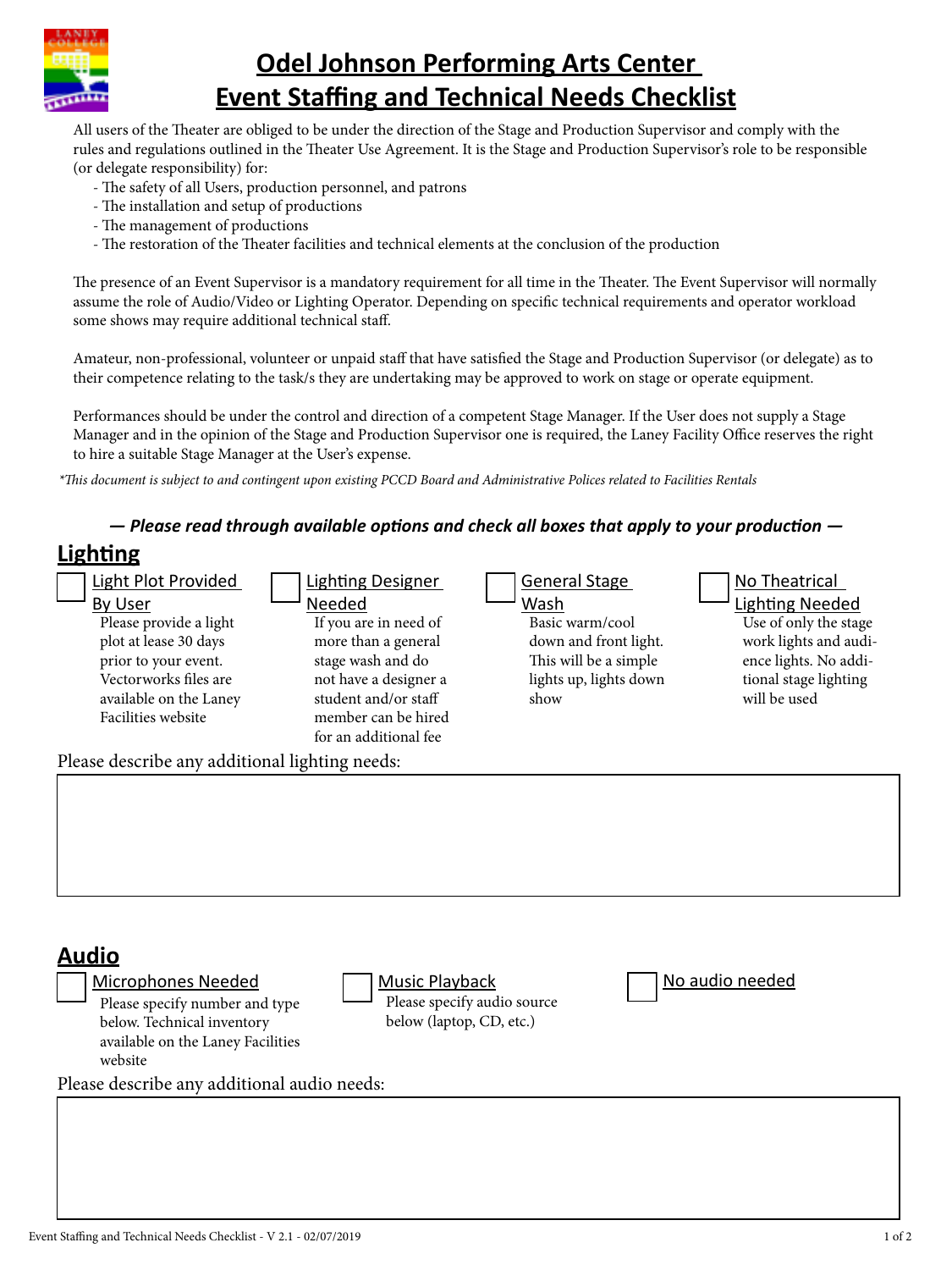

## **Odel Johnson Performing Arts Center Event Staffing and Technical Needs Checklist**

All users of the Theater are obliged to be under the direction of the Stage and Production Supervisor and comply with the rules and regulations outlined in the Theater Use Agreement. It is the Stage and Production Supervisor's role to be responsible (or delegate responsibility) for:

- The safety of all Users, production personnel, and patrons
- The installation and setup of productions
- The management of productions
- The restoration of the Theater facilities and technical elements at the conclusion of the production

The presence of an Event Supervisor is a mandatory requirement for all time in the Theater. The Event Supervisor will normally assume the role of Audio/Video or Lighting Operator. Depending on specific technical requirements and operator workload some shows may require additional technical staff.

Amateur, non-professional, volunteer or unpaid staff that have satisfied the Stage and Production Supervisor (or delegate) as to their competence relating to the task/s they are undertaking may be approved to work on stage or operate equipment.

Performances should be under the control and direction of a competent Stage Manager. If the User does not supply a Stage Manager and in the opinion of the Stage and Production Supervisor one is required, the Laney Facility Office reserves the right to hire a suitable Stage Manager at the User's expense.

*\*This document is subject to and contingent upon existing PCCD Board and Administrative Polices related to Facilities Rentals*

## *— Please read through available options and check all boxes that apply to your production —*